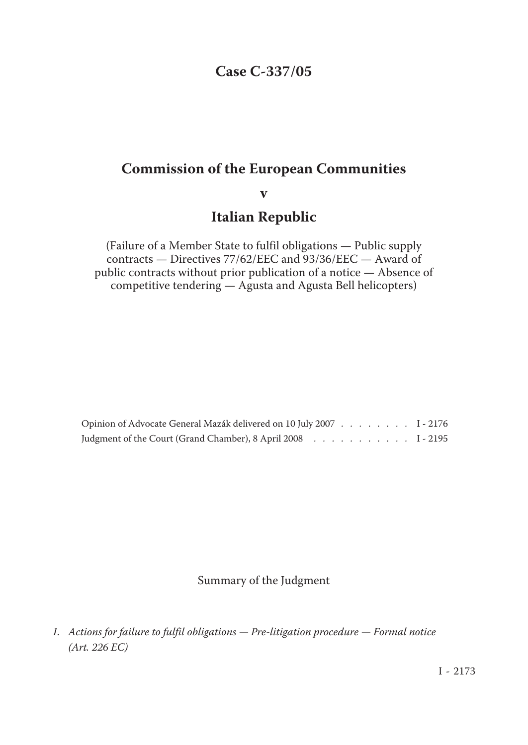## **Case C-337/05**

## **Commission of the European Communities**

## **v**

## **Italian Republic**

(Failure of a Member State to fulfil obligations — Public supply contracts — Directives 77/62/EEC and 93/36/EEC — Award of public contracts without prior publication of a notice — Absence of competitive tendering — Agusta and Agusta Bell helicopters)

| Opinion of Advocate General Mazák delivered on 10 July 2007 I - 2176 |  |  |  |  |  |
|----------------------------------------------------------------------|--|--|--|--|--|
| Judgment of the Court (Grand Chamber), 8 April 2008 1 - 2195         |  |  |  |  |  |

Summary of the Judgment

*<sup>1.</sup> Actions for failure to fulfil obligations — Pre-litigation procedure — Formal notice (Art. 226 EC)*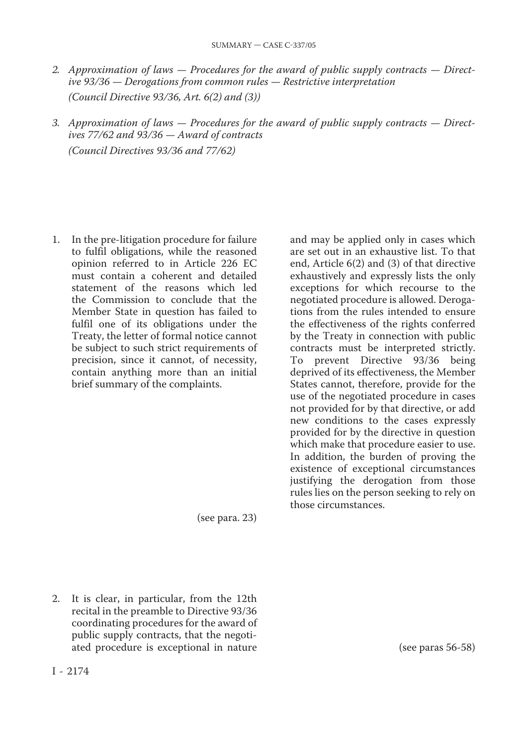- *2. Approximation of laws Procedures for the award of public supply contracts Directive 93/36 — Derogations from common rules — Restrictive interpretation (Council Directive 93/36, Art. 6(2) and (3))*
- *3. Approximation of laws Procedures for the award of public supply contracts Directives 77/62 and 93/36 — Award of contracts (Council Directives 93/36 and 77/62)*

1. In the pre-litigation procedure for failure to fulfil obligations, while the reasoned opinion referred to in Article 226 EC must contain a coherent and detailed statement of the reasons which led the Commission to conclude that the Member State in question has failed to fulfil one of its obligations under the Treaty, the letter of formal notice cannot be subject to such strict requirements of precision, since it cannot, of necessity, contain anything more than an initial brief summary of the complaints.

(see para. 23)

2. It is clear, in particular, from the 12th recital in the preamble to Directive 93/36 coordinating procedures for the award of public supply contracts, that the negotiated procedure is exceptional in nature and may be applied only in cases which are set out in an exhaustive list. To that end, Article 6(2) and (3) of that directive exhaustively and expressly lists the only exceptions for which recourse to the negotiated procedure is allowed. Deroga‑ tions from the rules intended to ensure the effectiveness of the rights conferred by the Treaty in connection with public contracts must be interpreted strictly. To prevent Directive 93/36 being deprived of its effectiveness, the Member States cannot, therefore, provide for the use of the negotiated procedure in cases not provided for by that directive, or add new conditions to the cases expressly provided for by the directive in question which make that procedure easier to use. In addition, the burden of proving the existence of exceptional circumstances justifying the derogation from those rules lies on the person seeking to rely on those circumstances.

I ‑ 2174

(see paras 56-58)